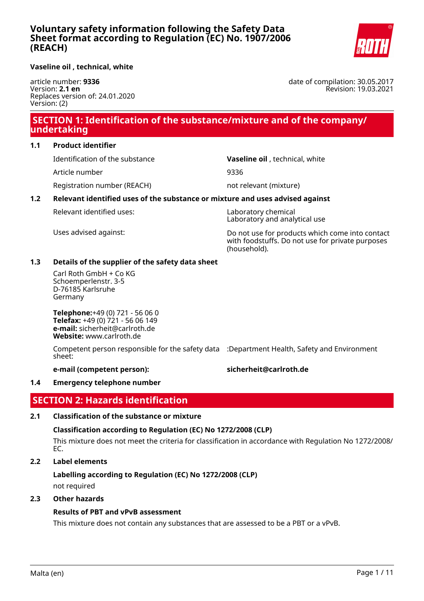

#### **Vaseline oil , technical, white**

article number: **9336** Version: **2.1 en** Replaces version of: 24.01.2020 Version: (2)

date of compilation: 30.05.2017 Revision: 19.03.2021

# **SECTION 1: Identification of the substance/mixture and of the company/ undertaking**

### **1.1 Product identifier**

Identification of the substance **Vaseline oil** , technical, white

Article number 9336

Registration number (REACH) not relevant (mixture)

### **1.2 Relevant identified uses of the substance or mixture and uses advised against**

Relevant identified uses: Laboratory chemical

Laboratory and analytical use

Uses advised against: Do not use for products which come into contact with foodstuffs. Do not use for private purposes (household).

### **1.3 Details of the supplier of the safety data sheet**

Carl Roth GmbH + Co KG Schoemperlenstr. 3-5 D-76185 Karlsruhe Germany

**Telephone:**+49 (0) 721 - 56 06 0 **Telefax:** +49 (0) 721 - 56 06 149 **e-mail:** sicherheit@carlroth.de **Website:** www.carlroth.de

Competent person responsible for the safety data :Department Health, Safety and Environment sheet:

#### **e-mail (competent person): sicherheit@carlroth.de**

#### **1.4 Emergency telephone number**

# **SECTION 2: Hazards identification**

#### **2.1 Classification of the substance or mixture**

### **Classification according to Regulation (EC) No 1272/2008 (CLP)**

This mixture does not meet the criteria for classification in accordance with Regulation No 1272/2008/ EC.

#### **2.2 Label elements**

# **Labelling according to Regulation (EC) No 1272/2008 (CLP)**

not required

#### **2.3 Other hazards**

### **Results of PBT and vPvB assessment**

This mixture does not contain any substances that are assessed to be a PBT or a vPvB.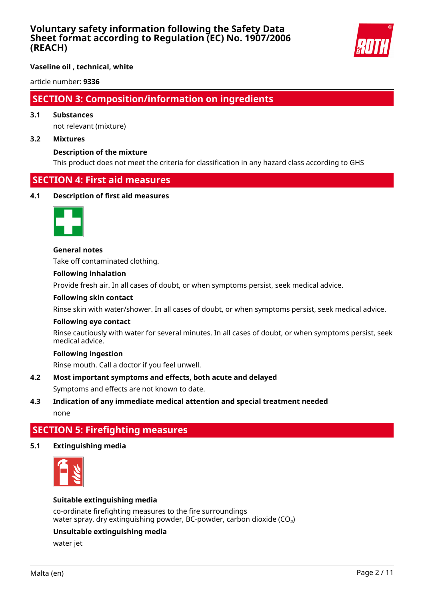

**Vaseline oil , technical, white**

article number: **9336**

# **SECTION 3: Composition/information on ingredients**

### **3.1 Substances**

not relevant (mixture)

#### **3.2 Mixtures**

#### **Description of the mixture**

This product does not meet the criteria for classification in any hazard class according to GHS

# **SECTION 4: First aid measures**

#### **4.1 Description of first aid measures**



**General notes** Take off contaminated clothing.

#### **Following inhalation**

Provide fresh air. In all cases of doubt, or when symptoms persist, seek medical advice.

#### **Following skin contact**

Rinse skin with water/shower. In all cases of doubt, or when symptoms persist, seek medical advice.

#### **Following eye contact**

Rinse cautiously with water for several minutes. In all cases of doubt, or when symptoms persist, seek medical advice.

### **Following ingestion**

Rinse mouth. Call a doctor if you feel unwell.

#### **4.2 Most important symptoms and effects, both acute and delayed**

Symptoms and effects are not known to date.

# **4.3 Indication of any immediate medical attention and special treatment needed** none

# **SECTION 5: Firefighting measures**

#### **5.1 Extinguishing media**



#### **Suitable extinguishing media**

co-ordinate firefighting measures to the fire surroundings water spray, dry extinguishing powder, BC-powder, carbon dioxide  $(CO<sub>2</sub>)$ 

#### **Unsuitable extinguishing media**

water jet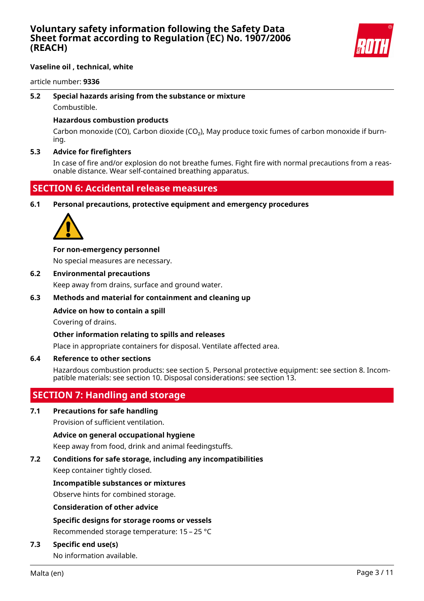

### **Vaseline oil , technical, white**

article number: **9336**

## **5.2 Special hazards arising from the substance or mixture**

Combustible.

### **Hazardous combustion products**

Carbon monoxide (CO), Carbon dioxide (CO₂), May produce toxic fumes of carbon monoxide if burning.

### **5.3 Advice for firefighters**

In case of fire and/or explosion do not breathe fumes. Fight fire with normal precautions from a reasonable distance. Wear self-contained breathing apparatus.

# **SECTION 6: Accidental release measures**

#### **6.1 Personal precautions, protective equipment and emergency procedures**



### **For non-emergency personnel**

No special measures are necessary.

### **6.2 Environmental precautions**

Keep away from drains, surface and ground water.

### **6.3 Methods and material for containment and cleaning up**

### **Advice on how to contain a spill**

Covering of drains.

### **Other information relating to spills and releases**

Place in appropriate containers for disposal. Ventilate affected area.

#### **6.4 Reference to other sections**

Hazardous combustion products: see section 5. Personal protective equipment: see section 8. Incompatible materials: see section 10. Disposal considerations: see section 13.

# **SECTION 7: Handling and storage**

### **7.1 Precautions for safe handling**

Provision of sufficient ventilation.

#### **Advice on general occupational hygiene**

Keep away from food, drink and animal feedingstuffs.

# **7.2 Conditions for safe storage, including any incompatibilities**

Keep container tightly closed.

#### **Incompatible substances or mixtures**

Observe hints for combined storage.

#### **Consideration of other advice**

### **Specific designs for storage rooms or vessels**

Recommended storage temperature: 15 – 25 °C

### **7.3 Specific end use(s)**

No information available.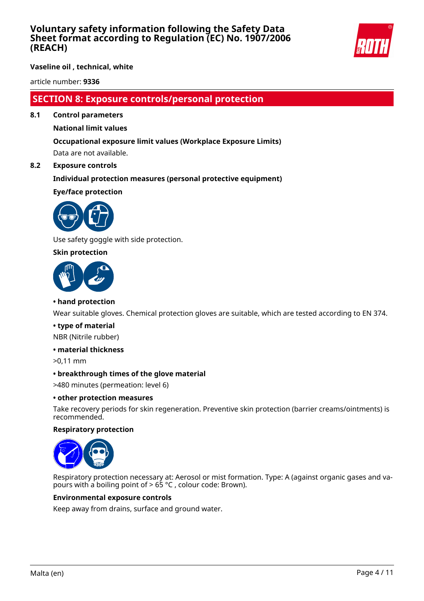

**Vaseline oil , technical, white**

article number: **9336**

# **SECTION 8: Exposure controls/personal protection**

**8.1 Control parameters**

### **National limit values**

# **Occupational exposure limit values (Workplace Exposure Limits)**

Data are not available.

### **8.2 Exposure controls**

### **Individual protection measures (personal protective equipment)**

**Eye/face protection**



Use safety goggle with side protection.

### **Skin protection**



#### **• hand protection**

Wear suitable gloves. Chemical protection gloves are suitable, which are tested according to EN 374.

#### **• type of material**

NBR (Nitrile rubber)

#### **• material thickness**

>0,11 mm

#### **• breakthrough times of the glove material**

>480 minutes (permeation: level 6)

#### **• other protection measures**

Take recovery periods for skin regeneration. Preventive skin protection (barrier creams/ointments) is recommended.

#### **Respiratory protection**



Respiratory protection necessary at: Aerosol or mist formation. Type: A (against organic gases and vapours with a boiling point of > 65 °C , colour code: Brown).

#### **Environmental exposure controls**

Keep away from drains, surface and ground water.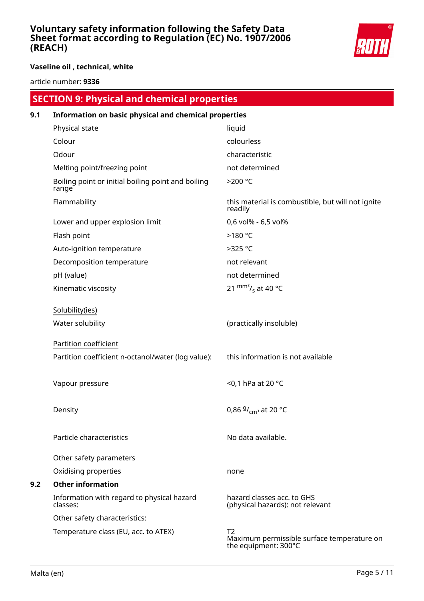

**Vaseline oil , technical, white**

article number: **9336**

|     | <b>SECTION 9: Physical and chemical properties</b>          |                                                                          |
|-----|-------------------------------------------------------------|--------------------------------------------------------------------------|
| 9.1 | Information on basic physical and chemical properties       |                                                                          |
|     | Physical state                                              | liquid                                                                   |
|     | Colour                                                      | colourless                                                               |
|     | Odour                                                       | characteristic                                                           |
|     | Melting point/freezing point                                | not determined                                                           |
|     | Boiling point or initial boiling point and boiling<br>range | >200 °C                                                                  |
|     | Flammability                                                | this material is combustible, but will not ignite<br>readily             |
|     | Lower and upper explosion limit                             | 0,6 vol% - 6,5 vol%                                                      |
|     | Flash point                                                 | >180 °C                                                                  |
|     | Auto-ignition temperature                                   | >325 °C                                                                  |
|     | Decomposition temperature                                   | not relevant                                                             |
|     | pH (value)                                                  | not determined                                                           |
|     | Kinematic viscosity                                         | 21 $\text{mm}^2$ / <sub>s</sub> at 40 °C                                 |
|     | Solubility(ies)                                             |                                                                          |
|     | Water solubility                                            | (practically insoluble)                                                  |
|     | Partition coefficient                                       |                                                                          |
|     | Partition coefficient n-octanol/water (log value):          | this information is not available                                        |
|     | Vapour pressure                                             | <0,1 hPa at 20 °C                                                        |
|     | Density                                                     | 0,86 $9/_{\text{cm}^3}$ at 20 °C                                         |
|     | Particle characteristics                                    | No data available.                                                       |
|     | Other safety parameters                                     |                                                                          |
|     | Oxidising properties                                        | none                                                                     |
| 9.2 | <b>Other information</b>                                    |                                                                          |
|     | Information with regard to physical hazard<br>classes:      | hazard classes acc. to GHS<br>(physical hazards): not relevant           |
|     | Other safety characteristics:                               |                                                                          |
|     | Temperature class (EU, acc. to ATEX)                        | T2<br>Maximum permissible surface temperature on<br>the equipment: 300°C |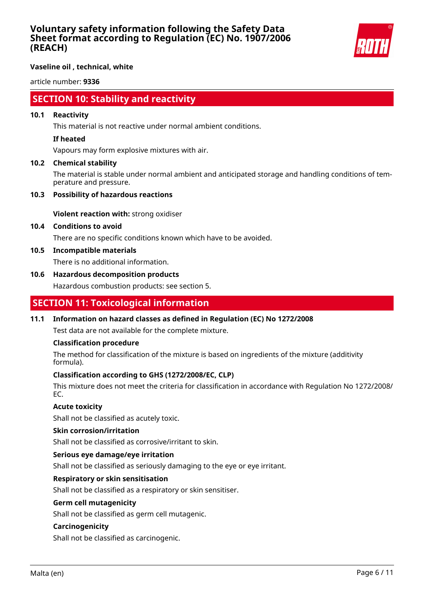

**Vaseline oil , technical, white**

article number: **9336**

# **SECTION 10: Stability and reactivity**

#### **10.1 Reactivity**

This material is not reactive under normal ambient conditions.

#### **If heated**

Vapours may form explosive mixtures with air.

### **10.2 Chemical stability**

The material is stable under normal ambient and anticipated storage and handling conditions of temperature and pressure.

### **10.3 Possibility of hazardous reactions**

**Violent reaction with:** strong oxidiser

### **10.4 Conditions to avoid**

There are no specific conditions known which have to be avoided.

### **10.5 Incompatible materials**

There is no additional information.

### **10.6 Hazardous decomposition products**

Hazardous combustion products: see section 5.

# **SECTION 11: Toxicological information**

### **11.1 Information on hazard classes as defined in Regulation (EC) No 1272/2008**

Test data are not available for the complete mixture.

#### **Classification procedure**

The method for classification of the mixture is based on ingredients of the mixture (additivity formula).

### **Classification according to GHS (1272/2008/EC, CLP)**

This mixture does not meet the criteria for classification in accordance with Regulation No 1272/2008/ EC.

### **Acute toxicity**

Shall not be classified as acutely toxic.

#### **Skin corrosion/irritation**

Shall not be classified as corrosive/irritant to skin.

#### **Serious eye damage/eye irritation**

Shall not be classified as seriously damaging to the eye or eye irritant.

### **Respiratory or skin sensitisation**

Shall not be classified as a respiratory or skin sensitiser.

#### **Germ cell mutagenicity**

Shall not be classified as germ cell mutagenic.

#### **Carcinogenicity**

Shall not be classified as carcinogenic.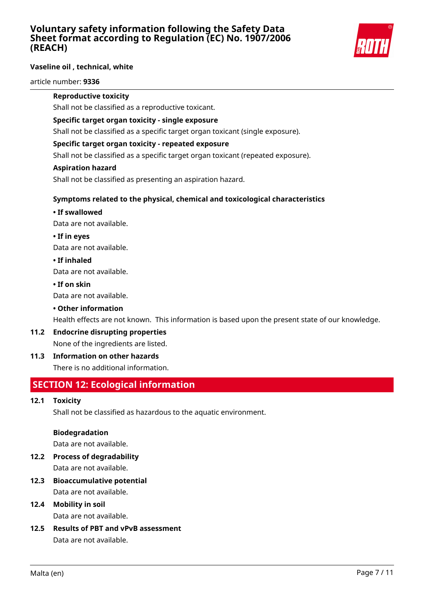

### **Vaseline oil , technical, white**

article number: **9336**

#### **Reproductive toxicity**

Shall not be classified as a reproductive toxicant.

### **Specific target organ toxicity - single exposure**

Shall not be classified as a specific target organ toxicant (single exposure).

### **Specific target organ toxicity - repeated exposure**

Shall not be classified as a specific target organ toxicant (repeated exposure).

#### **Aspiration hazard**

Shall not be classified as presenting an aspiration hazard.

## **Symptoms related to the physical, chemical and toxicological characteristics**

### **• If swallowed**

Data are not available.

### **• If in eyes**

Data are not available.

### **• If inhaled**

Data are not available.

### **• If on skin**

Data are not available.

### **• Other information**

Health effects are not known. This information is based upon the present state of our knowledge.

#### **11.2 Endocrine disrupting properties**

None of the ingredients are listed.

### **11.3 Information on other hazards**

There is no additional information.

# **SECTION 12: Ecological information**

#### **12.1 Toxicity**

Shall not be classified as hazardous to the aquatic environment.

#### **Biodegradation**

Data are not available.

- **12.2 Process of degradability** Data are not available.
- **12.3 Bioaccumulative potential** Data are not available.

# **12.4 Mobility in soil**

Data are not available.

**12.5 Results of PBT and vPvB assessment** Data are not available.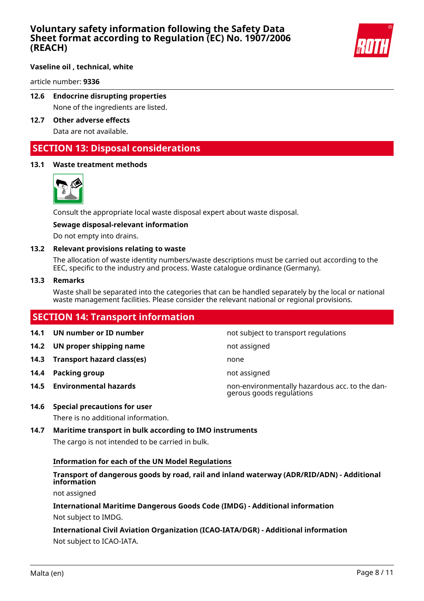

#### **Vaseline oil , technical, white**

article number: **9336**

# **12.6 Endocrine disrupting properties**

None of the ingredients are listed.

**12.7 Other adverse effects** Data are not available.

# **SECTION 13: Disposal considerations**

### **13.1 Waste treatment methods**



Consult the appropriate local waste disposal expert about waste disposal.

#### **Sewage disposal-relevant information**

Do not empty into drains.

#### **13.2 Relevant provisions relating to waste**

The allocation of waste identity numbers/waste descriptions must be carried out according to the EEC, specific to the industry and process. Waste catalogue ordinance (Germany).

#### **13.3 Remarks**

Waste shall be separated into the categories that can be handled separately by the local or national waste management facilities. Please consider the relevant national or regional provisions.

# **SECTION 14: Transport information**

- **14.2 UN proper shipping name** not assigned
- **14.3 Transport hazard class(es)** none
- **14.4 Packing group not assigned**
- 

**14.1 UN number or ID number not subject to transport regulations** 

- 
- 
- 

**14.5 Environmental hazards** non-environmentally hazardous acc. to the dangerous goods regulations

**14.6 Special precautions for user**

There is no additional information.

#### **14.7 Maritime transport in bulk according to IMO instruments**

The cargo is not intended to be carried in bulk.

#### **Information for each of the UN Model Regulations**

# **Transport of dangerous goods by road, rail and inland waterway (ADR/RID/ADN) - Additional information**

not assigned

# **International Maritime Dangerous Goods Code (IMDG) - Additional information**

Not subject to IMDG.

# **International Civil Aviation Organization (ICAO-IATA/DGR) - Additional information** Not subject to ICAO-IATA.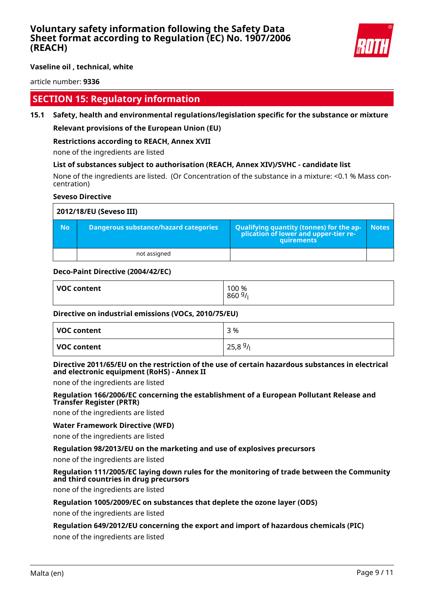

**Vaseline oil , technical, white**

article number: **9336**

# **SECTION 15: Regulatory information**

### **15.1 Safety, health and environmental regulations/legislation specific for the substance or mixture**

#### **Relevant provisions of the European Union (EU)**

#### **Restrictions according to REACH, Annex XVII**

none of the ingredients are listed

#### **List of substances subject to authorisation (REACH, Annex XIV)/SVHC - candidate list**

None of the ingredients are listed. (Or Concentration of the substance in a mixture: <0.1 % Mass concentration)

#### **Seveso Directive**

| 2012/18/EU (Seveso III) |                                       |                                                                                            |              |
|-------------------------|---------------------------------------|--------------------------------------------------------------------------------------------|--------------|
| <b>No</b>               | Dangerous substance/hazard categories | Qualifying quantity (tonnes) for the application of lower and upper-tier re-<br>quirements | <b>Notes</b> |
|                         | not assigned                          |                                                                                            |              |

#### **Deco-Paint Directive (2004/42/EC)**

| <b>VOC content</b> | 100 %<br>860<br>, ت |
|--------------------|---------------------|
|                    |                     |

#### **Directive on industrial emissions (VOCs, 2010/75/EU)**

| VOC content | 3 %    |
|-------------|--------|
| VOC content | 25,89/ |

### **Directive 2011/65/EU on the restriction of the use of certain hazardous substances in electrical and electronic equipment (RoHS) - Annex II**

none of the ingredients are listed

#### **Regulation 166/2006/EC concerning the establishment of a European Pollutant Release and Transfer Register (PRTR)**

none of the ingredients are listed

#### **Water Framework Directive (WFD)**

none of the ingredients are listed

#### **Regulation 98/2013/EU on the marketing and use of explosives precursors**

none of the ingredients are listed

#### **Regulation 111/2005/EC laying down rules for the monitoring of trade between the Community and third countries in drug precursors**

none of the ingredients are listed

#### **Regulation 1005/2009/EC on substances that deplete the ozone layer (ODS)**

none of the ingredients are listed

#### **Regulation 649/2012/EU concerning the export and import of hazardous chemicals (PIC)**

none of the ingredients are listed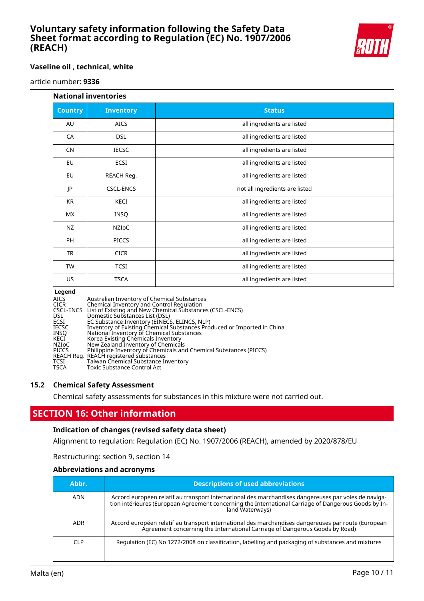

#### **Vaseline oil , technical, white**

article number: **9336**

#### **National inventories**

| <b>Country</b> | <b>Inventory</b> | <b>Status</b>                  |
|----------------|------------------|--------------------------------|
| AU             | <b>AICS</b>      | all ingredients are listed     |
| CA             | <b>DSL</b>       | all ingredients are listed     |
| <b>CN</b>      | <b>IECSC</b>     | all ingredients are listed     |
| EU             | ECSI             | all ingredients are listed     |
| EU             | REACH Reg.       | all ingredients are listed     |
| JP             | CSCL-ENCS        | not all ingredients are listed |
| KR             | KECI             | all ingredients are listed     |
| МX             | <b>INSQ</b>      | all ingredients are listed     |
| NZ             | NZIOC            | all ingredients are listed     |
| <b>PH</b>      | <b>PICCS</b>     | all ingredients are listed     |
| <b>TR</b>      | <b>CICR</b>      | all ingredients are listed     |
| <b>TW</b>      | <b>TCSI</b>      | all ingredients are listed     |
| US             | <b>TSCA</b>      | all ingredients are listed     |

#### **Legend**

| AICS         | Australian Inventory of Chemical Substances                             |
|--------------|-------------------------------------------------------------------------|
| <b>CICR</b>  | Chemical Inventory and Control Regulation                               |
|              | CSCL-ENCS List of Existing and New Chemical Substances (CSCL-ENCS)      |
| <b>DSL</b>   | Domestic Substances List (DSL)                                          |
| <b>ECSI</b>  | EC Substance Inventory (EINECS, ELINCS, NLP)                            |
| <b>IECSC</b> | Inventory of Existing Chemical Substances Produced or Imported in China |
| INSO         | National Inventory of Chemical Substances                               |
| KECI         | Korea Existing Chemicals Inventory                                      |
| NZIoC        | New Zealand Inventory of Chemicals                                      |
| <b>PICCS</b> | Philippine Inventory of Chemicals and Chemical Substances (PICCS)       |
|              | REACH Reg. REACH registered substances                                  |
| TCSI         | Taiwan Chemical Substance Inventory                                     |
| <b>TSCA</b>  | Toxic Substance Control Act                                             |
|              |                                                                         |

#### **15.2 Chemical Safety Assessment**

Chemical safety assessments for substances in this mixture were not carried out.

# **SECTION 16: Other information**

#### **Indication of changes (revised safety data sheet)**

Alignment to regulation: Regulation (EC) No. 1907/2006 (REACH), amended by 2020/878/EU

Restructuring: section 9, section 14

#### **Abbreviations and acronyms**

| Abbr.           | <b>Descriptions of used abbreviations</b>                                                                                                                                                                                       |
|-----------------|---------------------------------------------------------------------------------------------------------------------------------------------------------------------------------------------------------------------------------|
| ADN             | Accord européen relatif au transport international des marchandises dangereuses par voies de naviga-<br>tion intérieures (European Agreement concerning the International Carriage of Dangerous Goods by In-<br>land Waterways) |
| <b>ADR</b>      | Accord européen relatif au transport international des marchandises dangereuses par route (European<br>Agreement concerning the International Carriage of Dangerous Goods by Road)                                              |
| CI <sub>P</sub> | Regulation (EC) No 1272/2008 on classification, labelling and packaging of substances and mixtures                                                                                                                              |